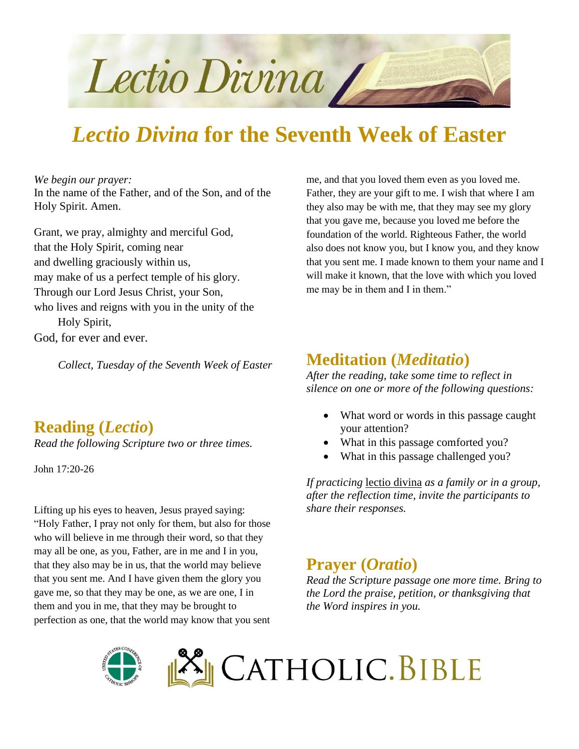

# *Lectio Divina* **for the Seventh Week of Easter**

*We begin our prayer:*

In the name of the Father, and of the Son, and of the Holy Spirit. Amen.

Grant, we pray, almighty and merciful God, that the Holy Spirit, coming near and dwelling graciously within us, may make of us a perfect temple of his glory. Through our Lord Jesus Christ, your Son, who lives and reigns with you in the unity of the Holy Spirit, God, for ever and ever.

*Collect, Tuesday of the Seventh Week of Easter*

**Reading (***Lectio***)**

*Read the following Scripture two or three times.*

John 17:20-26

Lifting up his eyes to heaven, Jesus prayed saying: "Holy Father, I pray not only for them, but also for those who will believe in me through their word, so that they may all be one, as you, Father, are in me and I in you, that they also may be in us, that the world may believe that you sent me. And I have given them the glory you gave me, so that they may be one, as we are one, I in them and you in me, that they may be brought to perfection as one, that the world may know that you sent me, and that you loved them even as you loved me. Father, they are your gift to me. I wish that where I am they also may be with me, that they may see my glory that you gave me, because you loved me before the foundation of the world. Righteous Father, the world also does not know you, but I know you, and they know that you sent me. I made known to them your name and I will make it known, that the love with which you loved me may be in them and I in them."

#### **Meditation (***Meditatio***)**

*After the reading, take some time to reflect in silence on one or more of the following questions:*

- What word or words in this passage caught your attention?
- What in this passage comforted you?
- What in this passage challenged you?

*If practicing* lectio divina *as a family or in a group, after the reflection time, invite the participants to share their responses.*

#### **Prayer (***Oratio***)**

*Read the Scripture passage one more time. Bring to the Lord the praise, petition, or thanksgiving that the Word inspires in you.*